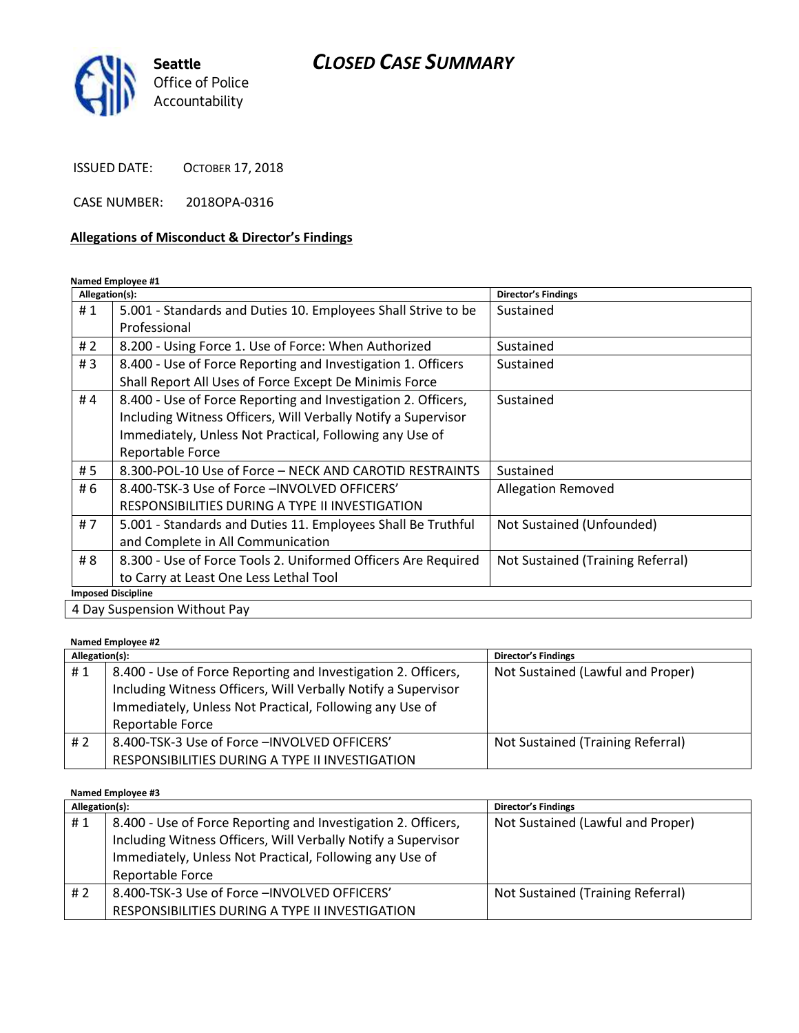# *CLOSED CASE SUMMARY*



ISSUED DATE: OCTOBER 17, 2018

CASE NUMBER: 2018OPA-0316

#### **Allegations of Misconduct & Director's Findings**

**Named Employee #1**

| Allegation(s): |                                                               | <b>Director's Findings</b>        |
|----------------|---------------------------------------------------------------|-----------------------------------|
| #1             | 5.001 - Standards and Duties 10. Employees Shall Strive to be | Sustained                         |
|                | Professional                                                  |                                   |
| # $2$          | 8.200 - Using Force 1. Use of Force: When Authorized          | Sustained                         |
| #3             | 8.400 - Use of Force Reporting and Investigation 1. Officers  | Sustained                         |
|                | Shall Report All Uses of Force Except De Minimis Force        |                                   |
| #4             | 8.400 - Use of Force Reporting and Investigation 2. Officers, | Sustained                         |
|                | Including Witness Officers, Will Verbally Notify a Supervisor |                                   |
|                | Immediately, Unless Not Practical, Following any Use of       |                                   |
|                | Reportable Force                                              |                                   |
| #5             | 8.300-POL-10 Use of Force - NECK AND CAROTID RESTRAINTS       | Sustained                         |
| # 6            | 8.400-TSK-3 Use of Force - INVOLVED OFFICERS'                 | <b>Allegation Removed</b>         |
|                | RESPONSIBILITIES DURING A TYPE II INVESTIGATION               |                                   |
| #7             | 5.001 - Standards and Duties 11. Employees Shall Be Truthful  | Not Sustained (Unfounded)         |
|                | and Complete in All Communication                             |                                   |
| # 8            | 8.300 - Use of Force Tools 2. Uniformed Officers Are Required | Not Sustained (Training Referral) |
|                | to Carry at Least One Less Lethal Tool                        |                                   |
|                | <b>Imposed Discipline</b>                                     |                                   |
|                | 4 Day Suspension Without Pay                                  |                                   |

**Named Employee #2**

| Allegation(s): |                                                                                                                                                                                                               | <b>Director's Findings</b>        |
|----------------|---------------------------------------------------------------------------------------------------------------------------------------------------------------------------------------------------------------|-----------------------------------|
| #1             | 8.400 - Use of Force Reporting and Investigation 2. Officers,<br>Including Witness Officers, Will Verbally Notify a Supervisor<br>Immediately, Unless Not Practical, Following any Use of<br>Reportable Force | Not Sustained (Lawful and Proper) |
| #2             | 8.400-TSK-3 Use of Force - INVOLVED OFFICERS'<br>RESPONSIBILITIES DURING A TYPE II INVESTIGATION                                                                                                              | Not Sustained (Training Referral) |

**Named Employee #3**

| Allegation(s): |                                                                                                                                                                                                               | <b>Director's Findings</b>        |  |  |
|----------------|---------------------------------------------------------------------------------------------------------------------------------------------------------------------------------------------------------------|-----------------------------------|--|--|
| #1             | 8.400 - Use of Force Reporting and Investigation 2. Officers,<br>Including Witness Officers, Will Verbally Notify a Supervisor<br>Immediately, Unless Not Practical, Following any Use of<br>Reportable Force | Not Sustained (Lawful and Proper) |  |  |
|                |                                                                                                                                                                                                               |                                   |  |  |
| #2             | 8.400-TSK-3 Use of Force - INVOLVED OFFICERS'                                                                                                                                                                 | Not Sustained (Training Referral) |  |  |
|                | RESPONSIBILITIES DURING A TYPE II INVESTIGATION                                                                                                                                                               |                                   |  |  |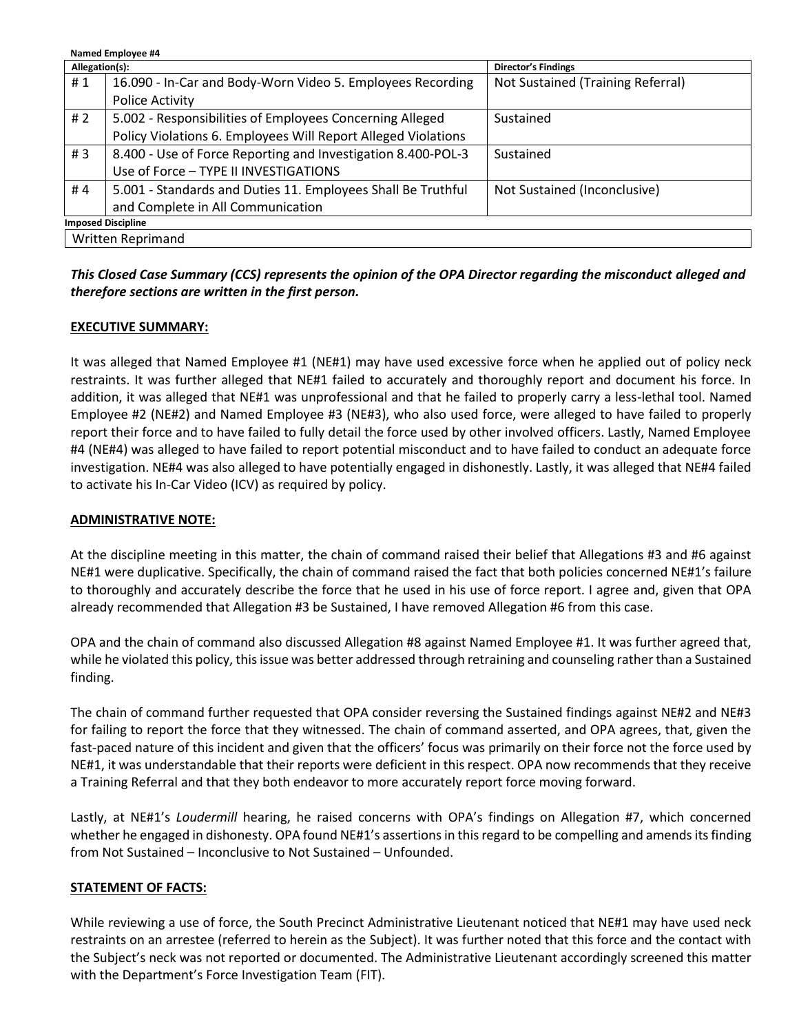| Named Employee #4         |                                                               |                                   |  |  |
|---------------------------|---------------------------------------------------------------|-----------------------------------|--|--|
| Allegation(s):            |                                                               | <b>Director's Findings</b>        |  |  |
| #1                        | 16.090 - In-Car and Body-Worn Video 5. Employees Recording    | Not Sustained (Training Referral) |  |  |
|                           | Police Activity                                               |                                   |  |  |
| # 2                       | 5.002 - Responsibilities of Employees Concerning Alleged      | Sustained                         |  |  |
|                           | Policy Violations 6. Employees Will Report Alleged Violations |                                   |  |  |
| #3                        | 8.400 - Use of Force Reporting and Investigation 8.400-POL-3  | Sustained                         |  |  |
|                           | Use of Force - TYPE II INVESTIGATIONS                         |                                   |  |  |
| #4                        | 5.001 - Standards and Duties 11. Employees Shall Be Truthful  | Not Sustained (Inconclusive)      |  |  |
|                           | and Complete in All Communication                             |                                   |  |  |
| <b>Imposed Discipline</b> |                                                               |                                   |  |  |
| Written Reprimand         |                                                               |                                   |  |  |

# *This Closed Case Summary (CCS) represents the opinion of the OPA Director regarding the misconduct alleged and therefore sections are written in the first person.*

# **EXECUTIVE SUMMARY:**

It was alleged that Named Employee #1 (NE#1) may have used excessive force when he applied out of policy neck restraints. It was further alleged that NE#1 failed to accurately and thoroughly report and document his force. In addition, it was alleged that NE#1 was unprofessional and that he failed to properly carry a less-lethal tool. Named Employee #2 (NE#2) and Named Employee #3 (NE#3), who also used force, were alleged to have failed to properly report their force and to have failed to fully detail the force used by other involved officers. Lastly, Named Employee #4 (NE#4) was alleged to have failed to report potential misconduct and to have failed to conduct an adequate force investigation. NE#4 was also alleged to have potentially engaged in dishonestly. Lastly, it was alleged that NE#4 failed to activate his In-Car Video (ICV) as required by policy.

## **ADMINISTRATIVE NOTE:**

At the discipline meeting in this matter, the chain of command raised their belief that Allegations #3 and #6 against NE#1 were duplicative. Specifically, the chain of command raised the fact that both policies concerned NE#1's failure to thoroughly and accurately describe the force that he used in his use of force report. I agree and, given that OPA already recommended that Allegation #3 be Sustained, I have removed Allegation #6 from this case.

OPA and the chain of command also discussed Allegation #8 against Named Employee #1. It was further agreed that, while he violated this policy, this issue was better addressed through retraining and counseling rather than a Sustained finding.

The chain of command further requested that OPA consider reversing the Sustained findings against NE#2 and NE#3 for failing to report the force that they witnessed. The chain of command asserted, and OPA agrees, that, given the fast-paced nature of this incident and given that the officers' focus was primarily on their force not the force used by NE#1, it was understandable that their reports were deficient in this respect. OPA now recommends that they receive a Training Referral and that they both endeavor to more accurately report force moving forward.

Lastly, at NE#1's *Loudermill* hearing, he raised concerns with OPA's findings on Allegation #7, which concerned whether he engaged in dishonesty. OPA found NE#1's assertions in this regard to be compelling and amends its finding from Not Sustained – Inconclusive to Not Sustained – Unfounded.

#### **STATEMENT OF FACTS:**

While reviewing a use of force, the South Precinct Administrative Lieutenant noticed that NE#1 may have used neck restraints on an arrestee (referred to herein as the Subject). It was further noted that this force and the contact with the Subject's neck was not reported or documented. The Administrative Lieutenant accordingly screened this matter with the Department's Force Investigation Team (FIT).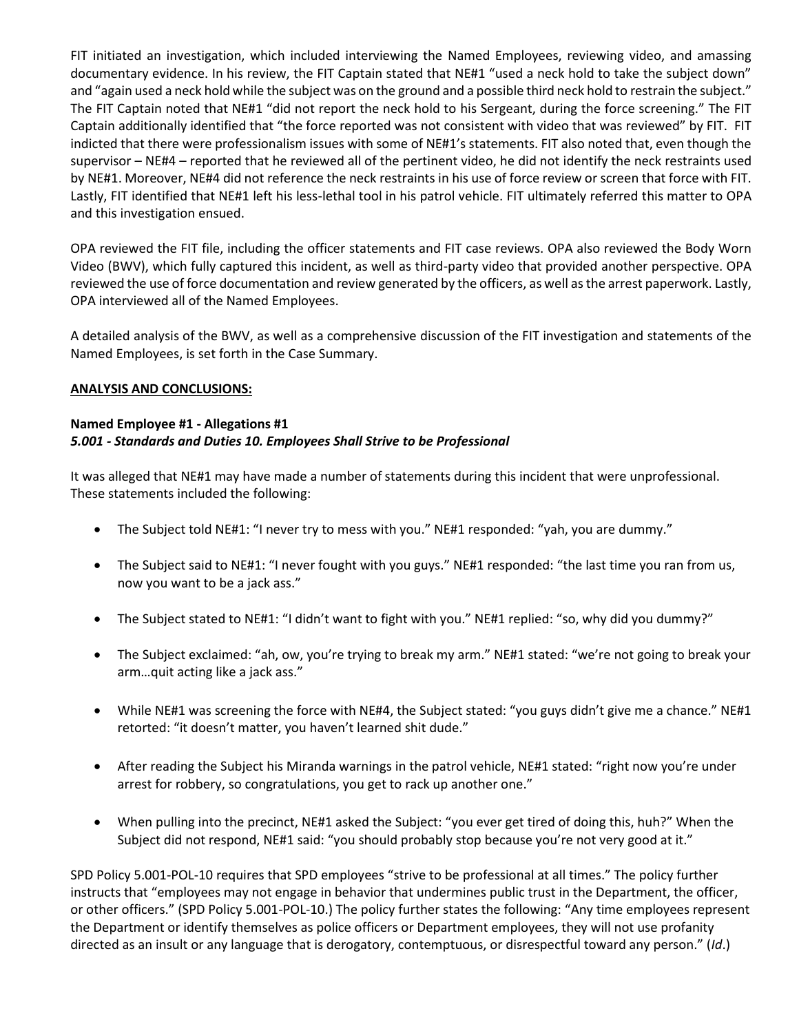FIT initiated an investigation, which included interviewing the Named Employees, reviewing video, and amassing documentary evidence. In his review, the FIT Captain stated that NE#1 "used a neck hold to take the subject down" and "again used a neck hold while the subject was on the ground and a possible third neck hold to restrain the subject." The FIT Captain noted that NE#1 "did not report the neck hold to his Sergeant, during the force screening." The FIT Captain additionally identified that "the force reported was not consistent with video that was reviewed" by FIT. FIT indicted that there were professionalism issues with some of NE#1's statements. FIT also noted that, even though the supervisor – NE#4 – reported that he reviewed all of the pertinent video, he did not identify the neck restraints used by NE#1. Moreover, NE#4 did not reference the neck restraints in his use of force review or screen that force with FIT. Lastly, FIT identified that NE#1 left his less-lethal tool in his patrol vehicle. FIT ultimately referred this matter to OPA and this investigation ensued.

OPA reviewed the FIT file, including the officer statements and FIT case reviews. OPA also reviewed the Body Worn Video (BWV), which fully captured this incident, as well as third-party video that provided another perspective. OPA reviewed the use of force documentation and review generated by the officers, as well as the arrest paperwork. Lastly, OPA interviewed all of the Named Employees.

A detailed analysis of the BWV, as well as a comprehensive discussion of the FIT investigation and statements of the Named Employees, is set forth in the Case Summary.

#### **ANALYSIS AND CONCLUSIONS:**

#### **Named Employee #1 - Allegations #1** *5.001 - Standards and Duties 10. Employees Shall Strive to be Professional*

It was alleged that NE#1 may have made a number of statements during this incident that were unprofessional. These statements included the following:

- The Subject told NE#1: "I never try to mess with you." NE#1 responded: "yah, you are dummy."
- The Subject said to NE#1: "I never fought with you guys." NE#1 responded: "the last time you ran from us, now you want to be a jack ass."
- The Subject stated to NE#1: "I didn't want to fight with you." NE#1 replied: "so, why did you dummy?"
- The Subject exclaimed: "ah, ow, you're trying to break my arm." NE#1 stated: "we're not going to break your arm…quit acting like a jack ass."
- While NE#1 was screening the force with NE#4, the Subject stated: "you guys didn't give me a chance." NE#1 retorted: "it doesn't matter, you haven't learned shit dude."
- After reading the Subject his Miranda warnings in the patrol vehicle, NE#1 stated: "right now you're under arrest for robbery, so congratulations, you get to rack up another one."
- When pulling into the precinct, NE#1 asked the Subject: "you ever get tired of doing this, huh?" When the Subject did not respond, NE#1 said: "you should probably stop because you're not very good at it."

SPD Policy 5.001-POL-10 requires that SPD employees "strive to be professional at all times." The policy further instructs that "employees may not engage in behavior that undermines public trust in the Department, the officer, or other officers." (SPD Policy 5.001-POL-10.) The policy further states the following: "Any time employees represent the Department or identify themselves as police officers or Department employees, they will not use profanity directed as an insult or any language that is derogatory, contemptuous, or disrespectful toward any person." (*Id*.)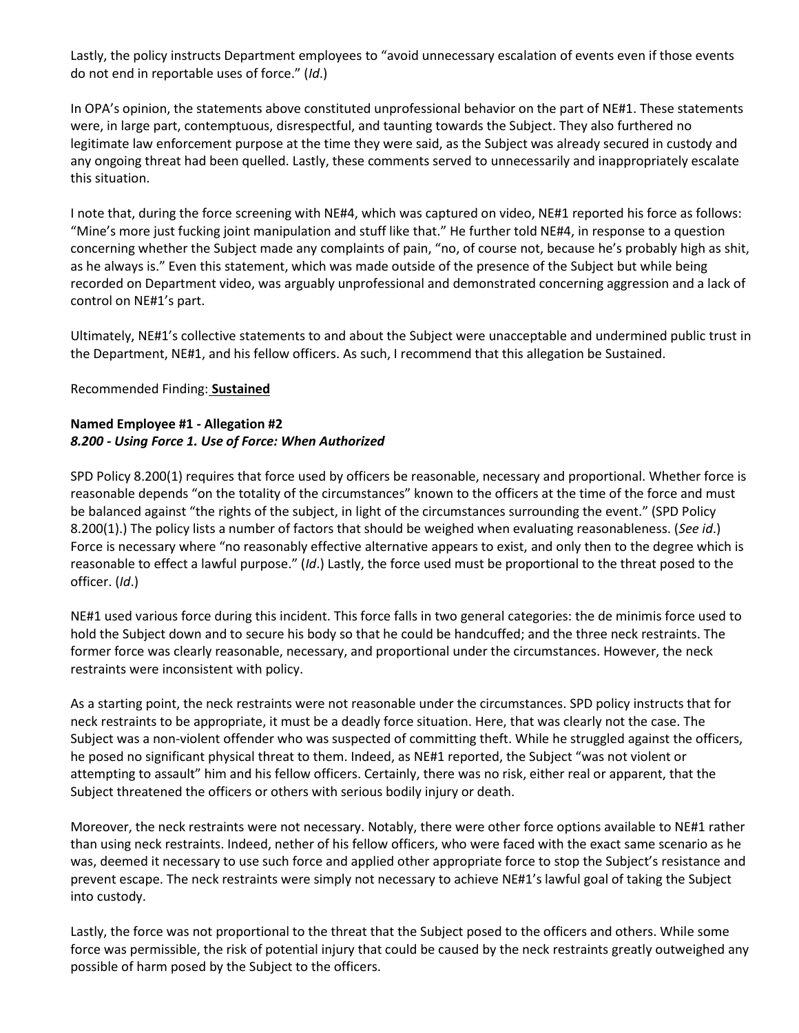Lastly, the policy instructs Department employees to "avoid unnecessary escalation of events even if those events do not end in reportable uses of force." (*Id*.)

In OPA's opinion, the statements above constituted unprofessional behavior on the part of NE#1. These statements were, in large part, contemptuous, disrespectful, and taunting towards the Subject. They also furthered no legitimate law enforcement purpose at the time they were said, as the Subject was already secured in custody and any ongoing threat had been quelled. Lastly, these comments served to unnecessarily and inappropriately escalate this situation.

I note that, during the force screening with NE#4, which was captured on video, NE#1 reported his force as follows: "Mine's more just fucking joint manipulation and stuff like that." He further told NE#4, in response to a question concerning whether the Subject made any complaints of pain, "no, of course not, because he's probably high as shit, as he always is." Even this statement, which was made outside of the presence of the Subject but while being recorded on Department video, was arguably unprofessional and demonstrated concerning aggression and a lack of control on NE#1's part.

Ultimately, NE#1's collective statements to and about the Subject were unacceptable and undermined public trust in the Department, NE#1, and his fellow officers. As such, I recommend that this allegation be Sustained.

#### Recommended Finding: **Sustained**

## **Named Employee #1 - Allegation #2** *8.200 - Using Force 1. Use of Force: When Authorized*

SPD Policy 8.200(1) requires that force used by officers be reasonable, necessary and proportional. Whether force is reasonable depends "on the totality of the circumstances" known to the officers at the time of the force and must be balanced against "the rights of the subject, in light of the circumstances surrounding the event." (SPD Policy 8.200(1).) The policy lists a number of factors that should be weighed when evaluating reasonableness. (*See id*.) Force is necessary where "no reasonably effective alternative appears to exist, and only then to the degree which is reasonable to effect a lawful purpose." (*Id*.) Lastly, the force used must be proportional to the threat posed to the officer. (*Id*.)

NE#1 used various force during this incident. This force falls in two general categories: the de minimis force used to hold the Subject down and to secure his body so that he could be handcuffed; and the three neck restraints. The former force was clearly reasonable, necessary, and proportional under the circumstances. However, the neck restraints were inconsistent with policy.

As a starting point, the neck restraints were not reasonable under the circumstances. SPD policy instructs that for neck restraints to be appropriate, it must be a deadly force situation. Here, that was clearly not the case. The Subject was a non-violent offender who was suspected of committing theft. While he struggled against the officers, he posed no significant physical threat to them. Indeed, as NE#1 reported, the Subject "was not violent or attempting to assault" him and his fellow officers. Certainly, there was no risk, either real or apparent, that the Subject threatened the officers or others with serious bodily injury or death.

Moreover, the neck restraints were not necessary. Notably, there were other force options available to NE#1 rather than using neck restraints. Indeed, nether of his fellow officers, who were faced with the exact same scenario as he was, deemed it necessary to use such force and applied other appropriate force to stop the Subject's resistance and prevent escape. The neck restraints were simply not necessary to achieve NE#1's lawful goal of taking the Subject into custody.

Lastly, the force was not proportional to the threat that the Subject posed to the officers and others. While some force was permissible, the risk of potential injury that could be caused by the neck restraints greatly outweighed any possible of harm posed by the Subject to the officers.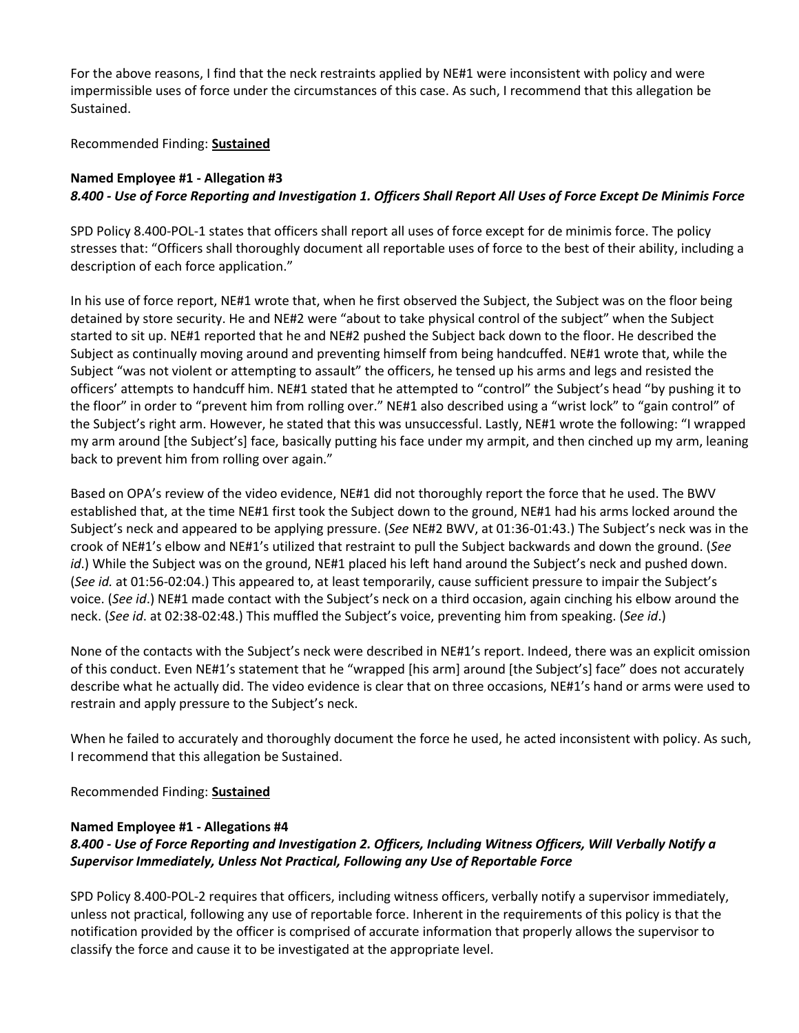For the above reasons, I find that the neck restraints applied by NE#1 were inconsistent with policy and were impermissible uses of force under the circumstances of this case. As such, I recommend that this allegation be Sustained.

# Recommended Finding: **Sustained**

# **Named Employee #1 - Allegation #3** *8.400 - Use of Force Reporting and Investigation 1. Officers Shall Report All Uses of Force Except De Minimis Force*

SPD Policy 8.400-POL-1 states that officers shall report all uses of force except for de minimis force. The policy stresses that: "Officers shall thoroughly document all reportable uses of force to the best of their ability, including a description of each force application."

In his use of force report, NE#1 wrote that, when he first observed the Subject, the Subject was on the floor being detained by store security. He and NE#2 were "about to take physical control of the subject" when the Subject started to sit up. NE#1 reported that he and NE#2 pushed the Subject back down to the floor. He described the Subject as continually moving around and preventing himself from being handcuffed. NE#1 wrote that, while the Subject "was not violent or attempting to assault" the officers, he tensed up his arms and legs and resisted the officers' attempts to handcuff him. NE#1 stated that he attempted to "control" the Subject's head "by pushing it to the floor" in order to "prevent him from rolling over." NE#1 also described using a "wrist lock" to "gain control" of the Subject's right arm. However, he stated that this was unsuccessful. Lastly, NE#1 wrote the following: "I wrapped my arm around [the Subject's] face, basically putting his face under my armpit, and then cinched up my arm, leaning back to prevent him from rolling over again."

Based on OPA's review of the video evidence, NE#1 did not thoroughly report the force that he used. The BWV established that, at the time NE#1 first took the Subject down to the ground, NE#1 had his arms locked around the Subject's neck and appeared to be applying pressure. (*See* NE#2 BWV, at 01:36-01:43.) The Subject's neck was in the crook of NE#1's elbow and NE#1's utilized that restraint to pull the Subject backwards and down the ground. (*See id*.) While the Subject was on the ground, NE#1 placed his left hand around the Subject's neck and pushed down. (*See id.* at 01:56-02:04.) This appeared to, at least temporarily, cause sufficient pressure to impair the Subject's voice. (*See id*.) NE#1 made contact with the Subject's neck on a third occasion, again cinching his elbow around the neck. (*See id*. at 02:38-02:48.) This muffled the Subject's voice, preventing him from speaking. (*See id*.)

None of the contacts with the Subject's neck were described in NE#1's report. Indeed, there was an explicit omission of this conduct. Even NE#1's statement that he "wrapped [his arm] around [the Subject's] face" does not accurately describe what he actually did. The video evidence is clear that on three occasions, NE#1's hand or arms were used to restrain and apply pressure to the Subject's neck.

When he failed to accurately and thoroughly document the force he used, he acted inconsistent with policy. As such, I recommend that this allegation be Sustained.

Recommended Finding: **Sustained**

#### **Named Employee #1 - Allegations #4**

# *8.400 - Use of Force Reporting and Investigation 2. Officers, Including Witness Officers, Will Verbally Notify a Supervisor Immediately, Unless Not Practical, Following any Use of Reportable Force*

SPD Policy 8.400-POL-2 requires that officers, including witness officers, verbally notify a supervisor immediately, unless not practical, following any use of reportable force. Inherent in the requirements of this policy is that the notification provided by the officer is comprised of accurate information that properly allows the supervisor to classify the force and cause it to be investigated at the appropriate level.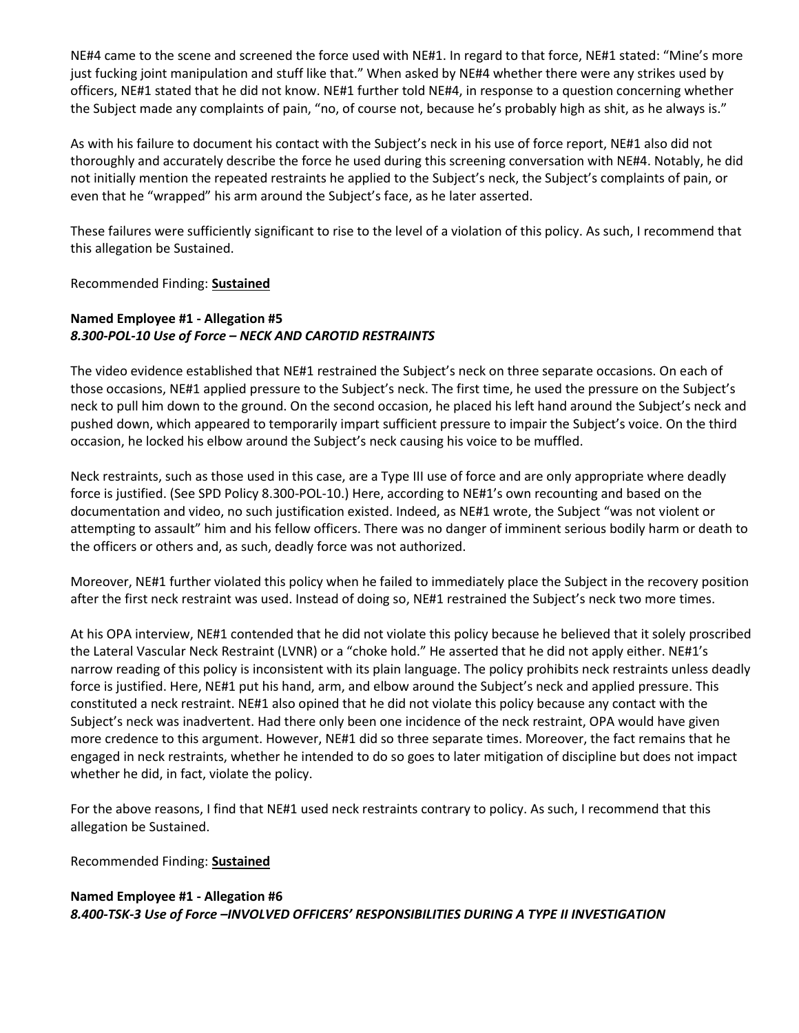NE#4 came to the scene and screened the force used with NE#1. In regard to that force, NE#1 stated: "Mine's more just fucking joint manipulation and stuff like that." When asked by NE#4 whether there were any strikes used by officers, NE#1 stated that he did not know. NE#1 further told NE#4, in response to a question concerning whether the Subject made any complaints of pain, "no, of course not, because he's probably high as shit, as he always is."

As with his failure to document his contact with the Subject's neck in his use of force report, NE#1 also did not thoroughly and accurately describe the force he used during this screening conversation with NE#4. Notably, he did not initially mention the repeated restraints he applied to the Subject's neck, the Subject's complaints of pain, or even that he "wrapped" his arm around the Subject's face, as he later asserted.

These failures were sufficiently significant to rise to the level of a violation of this policy. As such, I recommend that this allegation be Sustained.

Recommended Finding: **Sustained**

# **Named Employee #1 - Allegation #5** *8.300-POL-10 Use of Force – NECK AND CAROTID RESTRAINTS*

The video evidence established that NE#1 restrained the Subject's neck on three separate occasions. On each of those occasions, NE#1 applied pressure to the Subject's neck. The first time, he used the pressure on the Subject's neck to pull him down to the ground. On the second occasion, he placed his left hand around the Subject's neck and pushed down, which appeared to temporarily impart sufficient pressure to impair the Subject's voice. On the third occasion, he locked his elbow around the Subject's neck causing his voice to be muffled.

Neck restraints, such as those used in this case, are a Type III use of force and are only appropriate where deadly force is justified. (See SPD Policy 8.300-POL-10.) Here, according to NE#1's own recounting and based on the documentation and video, no such justification existed. Indeed, as NE#1 wrote, the Subject "was not violent or attempting to assault" him and his fellow officers. There was no danger of imminent serious bodily harm or death to the officers or others and, as such, deadly force was not authorized.

Moreover, NE#1 further violated this policy when he failed to immediately place the Subject in the recovery position after the first neck restraint was used. Instead of doing so, NE#1 restrained the Subject's neck two more times.

At his OPA interview, NE#1 contended that he did not violate this policy because he believed that it solely proscribed the Lateral Vascular Neck Restraint (LVNR) or a "choke hold." He asserted that he did not apply either. NE#1's narrow reading of this policy is inconsistent with its plain language. The policy prohibits neck restraints unless deadly force is justified. Here, NE#1 put his hand, arm, and elbow around the Subject's neck and applied pressure. This constituted a neck restraint. NE#1 also opined that he did not violate this policy because any contact with the Subject's neck was inadvertent. Had there only been one incidence of the neck restraint, OPA would have given more credence to this argument. However, NE#1 did so three separate times. Moreover, the fact remains that he engaged in neck restraints, whether he intended to do so goes to later mitigation of discipline but does not impact whether he did, in fact, violate the policy.

For the above reasons, I find that NE#1 used neck restraints contrary to policy. As such, I recommend that this allegation be Sustained.

Recommended Finding: **Sustained**

# **Named Employee #1 - Allegation #6** *8.400-TSK-3 Use of Force –INVOLVED OFFICERS' RESPONSIBILITIES DURING A TYPE II INVESTIGATION*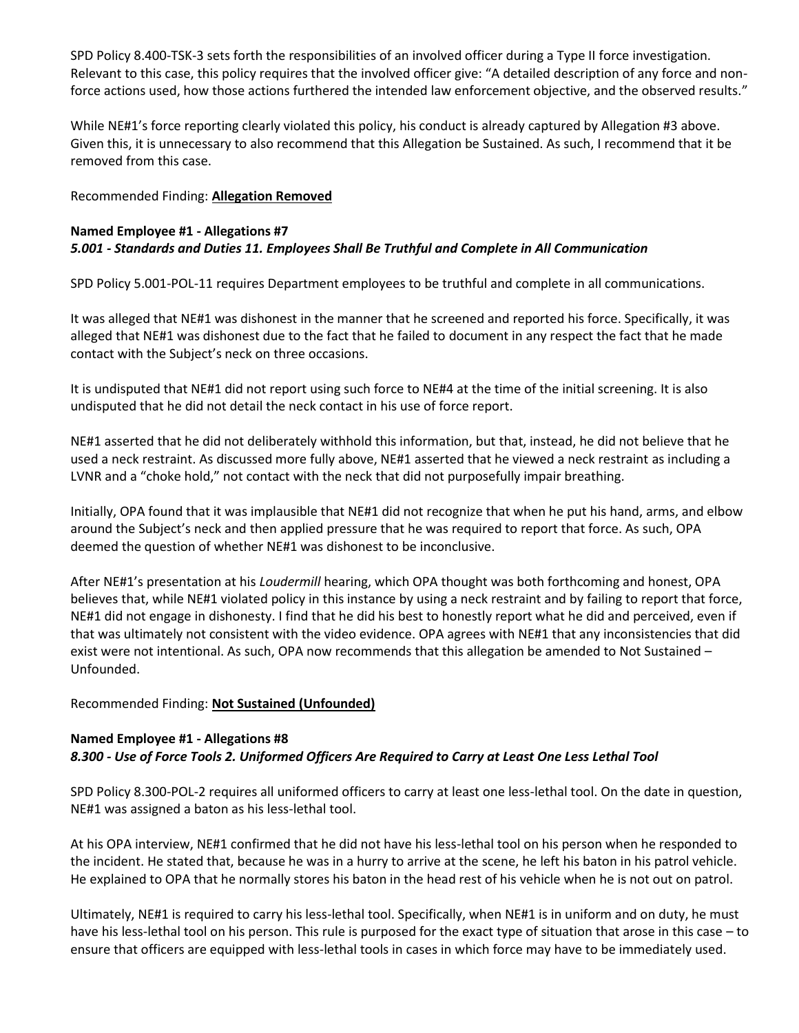SPD Policy 8.400-TSK-3 sets forth the responsibilities of an involved officer during a Type II force investigation. Relevant to this case, this policy requires that the involved officer give: "A detailed description of any force and nonforce actions used, how those actions furthered the intended law enforcement objective, and the observed results."

While NE#1's force reporting clearly violated this policy, his conduct is already captured by Allegation #3 above. Given this, it is unnecessary to also recommend that this Allegation be Sustained. As such, I recommend that it be removed from this case.

## Recommended Finding: **Allegation Removed**

# **Named Employee #1 - Allegations #7** *5.001 - Standards and Duties 11. Employees Shall Be Truthful and Complete in All Communication*

SPD Policy 5.001-POL-11 requires Department employees to be truthful and complete in all communications.

It was alleged that NE#1 was dishonest in the manner that he screened and reported his force. Specifically, it was alleged that NE#1 was dishonest due to the fact that he failed to document in any respect the fact that he made contact with the Subject's neck on three occasions.

It is undisputed that NE#1 did not report using such force to NE#4 at the time of the initial screening. It is also undisputed that he did not detail the neck contact in his use of force report.

NE#1 asserted that he did not deliberately withhold this information, but that, instead, he did not believe that he used a neck restraint. As discussed more fully above, NE#1 asserted that he viewed a neck restraint as including a LVNR and a "choke hold," not contact with the neck that did not purposefully impair breathing.

Initially, OPA found that it was implausible that NE#1 did not recognize that when he put his hand, arms, and elbow around the Subject's neck and then applied pressure that he was required to report that force. As such, OPA deemed the question of whether NE#1 was dishonest to be inconclusive.

After NE#1's presentation at his *Loudermill* hearing, which OPA thought was both forthcoming and honest, OPA believes that, while NE#1 violated policy in this instance by using a neck restraint and by failing to report that force, NE#1 did not engage in dishonesty. I find that he did his best to honestly report what he did and perceived, even if that was ultimately not consistent with the video evidence. OPA agrees with NE#1 that any inconsistencies that did exist were not intentional. As such, OPA now recommends that this allegation be amended to Not Sustained – Unfounded.

# Recommended Finding: **Not Sustained (Unfounded)**

# **Named Employee #1 - Allegations #8** *8.300 - Use of Force Tools 2. Uniformed Officers Are Required to Carry at Least One Less Lethal Tool*

SPD Policy 8.300-POL-2 requires all uniformed officers to carry at least one less-lethal tool. On the date in question, NE#1 was assigned a baton as his less-lethal tool.

At his OPA interview, NE#1 confirmed that he did not have his less-lethal tool on his person when he responded to the incident. He stated that, because he was in a hurry to arrive at the scene, he left his baton in his patrol vehicle. He explained to OPA that he normally stores his baton in the head rest of his vehicle when he is not out on patrol.

Ultimately, NE#1 is required to carry his less-lethal tool. Specifically, when NE#1 is in uniform and on duty, he must have his less-lethal tool on his person. This rule is purposed for the exact type of situation that arose in this case – to ensure that officers are equipped with less-lethal tools in cases in which force may have to be immediately used.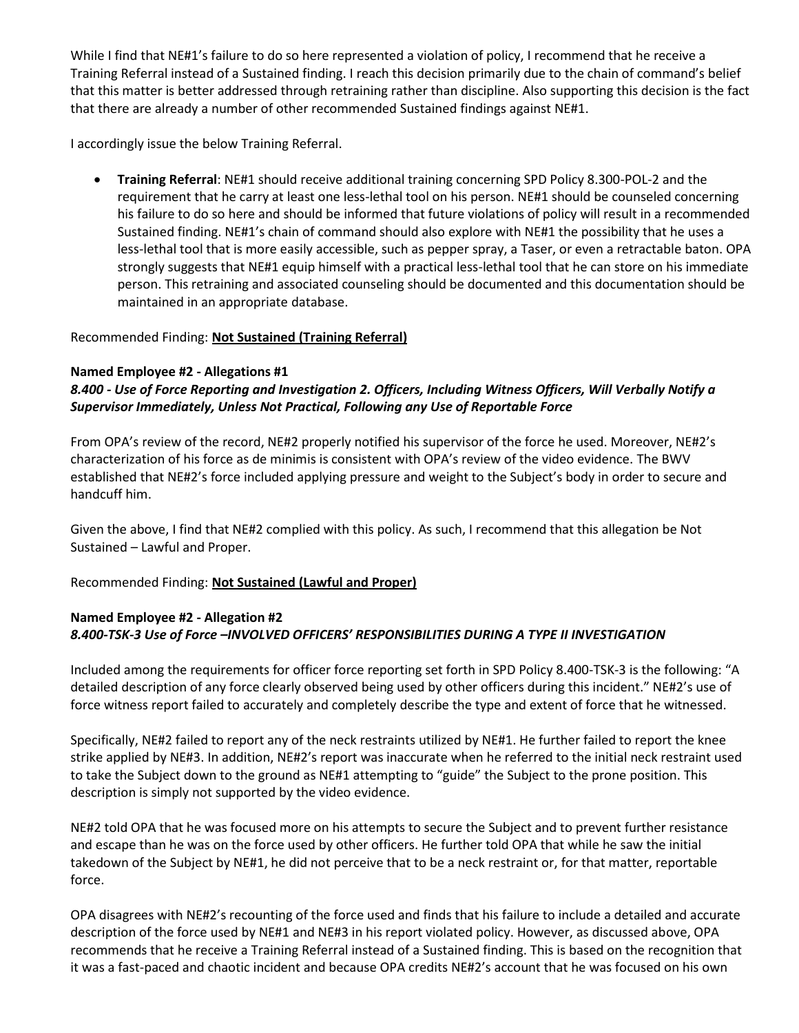While I find that NE#1's failure to do so here represented a violation of policy, I recommend that he receive a Training Referral instead of a Sustained finding. I reach this decision primarily due to the chain of command's belief that this matter is better addressed through retraining rather than discipline. Also supporting this decision is the fact that there are already a number of other recommended Sustained findings against NE#1.

I accordingly issue the below Training Referral.

• **Training Referral**: NE#1 should receive additional training concerning SPD Policy 8.300-POL-2 and the requirement that he carry at least one less-lethal tool on his person. NE#1 should be counseled concerning his failure to do so here and should be informed that future violations of policy will result in a recommended Sustained finding. NE#1's chain of command should also explore with NE#1 the possibility that he uses a less-lethal tool that is more easily accessible, such as pepper spray, a Taser, or even a retractable baton. OPA strongly suggests that NE#1 equip himself with a practical less-lethal tool that he can store on his immediate person. This retraining and associated counseling should be documented and this documentation should be maintained in an appropriate database.

# Recommended Finding: **Not Sustained (Training Referral)**

#### **Named Employee #2 - Allegations #1**

# *8.400 - Use of Force Reporting and Investigation 2. Officers, Including Witness Officers, Will Verbally Notify a Supervisor Immediately, Unless Not Practical, Following any Use of Reportable Force*

From OPA's review of the record, NE#2 properly notified his supervisor of the force he used. Moreover, NE#2's characterization of his force as de minimis is consistent with OPA's review of the video evidence. The BWV established that NE#2's force included applying pressure and weight to the Subject's body in order to secure and handcuff him.

Given the above, I find that NE#2 complied with this policy. As such, I recommend that this allegation be Not Sustained – Lawful and Proper.

#### Recommended Finding: **Not Sustained (Lawful and Proper)**

# **Named Employee #2 - Allegation #2** *8.400-TSK-3 Use of Force –INVOLVED OFFICERS' RESPONSIBILITIES DURING A TYPE II INVESTIGATION*

Included among the requirements for officer force reporting set forth in SPD Policy 8.400-TSK-3 is the following: "A detailed description of any force clearly observed being used by other officers during this incident." NE#2's use of force witness report failed to accurately and completely describe the type and extent of force that he witnessed.

Specifically, NE#2 failed to report any of the neck restraints utilized by NE#1. He further failed to report the knee strike applied by NE#3. In addition, NE#2's report was inaccurate when he referred to the initial neck restraint used to take the Subject down to the ground as NE#1 attempting to "guide" the Subject to the prone position. This description is simply not supported by the video evidence.

NE#2 told OPA that he was focused more on his attempts to secure the Subject and to prevent further resistance and escape than he was on the force used by other officers. He further told OPA that while he saw the initial takedown of the Subject by NE#1, he did not perceive that to be a neck restraint or, for that matter, reportable force.

OPA disagrees with NE#2's recounting of the force used and finds that his failure to include a detailed and accurate description of the force used by NE#1 and NE#3 in his report violated policy. However, as discussed above, OPA recommends that he receive a Training Referral instead of a Sustained finding. This is based on the recognition that it was a fast-paced and chaotic incident and because OPA credits NE#2's account that he was focused on his own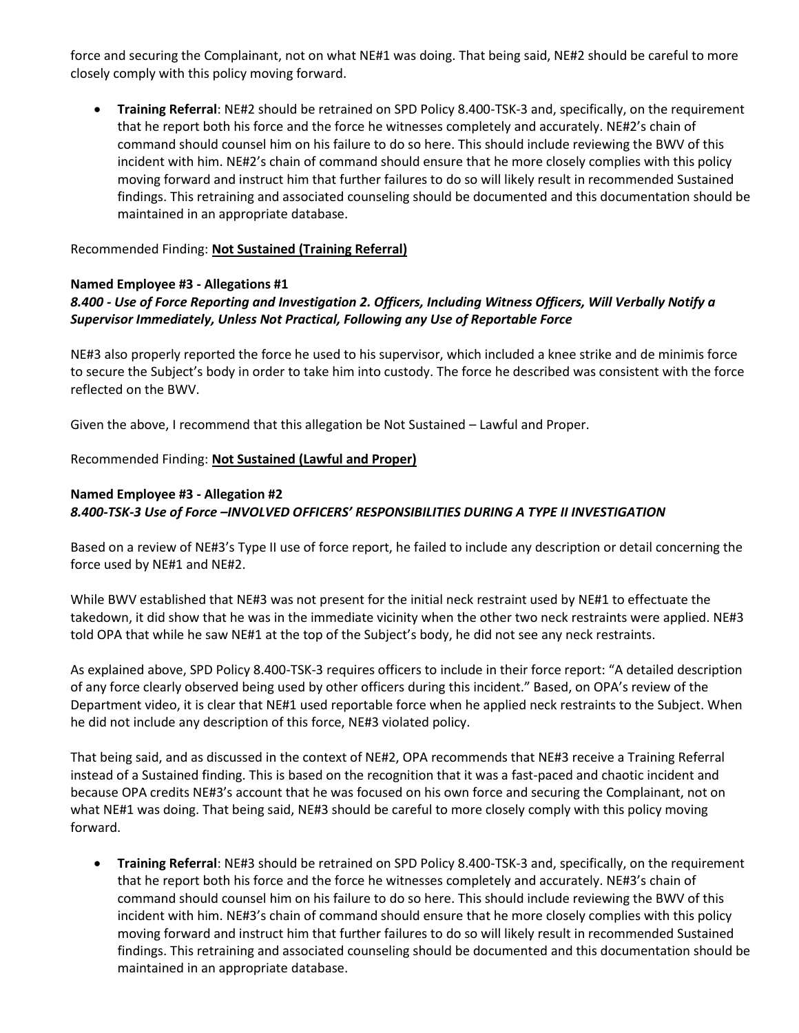force and securing the Complainant, not on what NE#1 was doing. That being said, NE#2 should be careful to more closely comply with this policy moving forward.

• **Training Referral**: NE#2 should be retrained on SPD Policy 8.400-TSK-3 and, specifically, on the requirement that he report both his force and the force he witnesses completely and accurately. NE#2's chain of command should counsel him on his failure to do so here. This should include reviewing the BWV of this incident with him. NE#2's chain of command should ensure that he more closely complies with this policy moving forward and instruct him that further failures to do so will likely result in recommended Sustained findings. This retraining and associated counseling should be documented and this documentation should be maintained in an appropriate database.

## Recommended Finding: **Not Sustained (Training Referral)**

#### **Named Employee #3 - Allegations #1**

# *8.400 - Use of Force Reporting and Investigation 2. Officers, Including Witness Officers, Will Verbally Notify a Supervisor Immediately, Unless Not Practical, Following any Use of Reportable Force*

NE#3 also properly reported the force he used to his supervisor, which included a knee strike and de minimis force to secure the Subject's body in order to take him into custody. The force he described was consistent with the force reflected on the BWV.

Given the above, I recommend that this allegation be Not Sustained – Lawful and Proper.

# Recommended Finding: **Not Sustained (Lawful and Proper)**

# **Named Employee #3 - Allegation #2** *8.400-TSK-3 Use of Force –INVOLVED OFFICERS' RESPONSIBILITIES DURING A TYPE II INVESTIGATION*

Based on a review of NE#3's Type II use of force report, he failed to include any description or detail concerning the force used by NE#1 and NE#2.

While BWV established that NE#3 was not present for the initial neck restraint used by NE#1 to effectuate the takedown, it did show that he was in the immediate vicinity when the other two neck restraints were applied. NE#3 told OPA that while he saw NE#1 at the top of the Subject's body, he did not see any neck restraints.

As explained above, SPD Policy 8.400-TSK-3 requires officers to include in their force report: "A detailed description of any force clearly observed being used by other officers during this incident." Based, on OPA's review of the Department video, it is clear that NE#1 used reportable force when he applied neck restraints to the Subject. When he did not include any description of this force, NE#3 violated policy.

That being said, and as discussed in the context of NE#2, OPA recommends that NE#3 receive a Training Referral instead of a Sustained finding. This is based on the recognition that it was a fast-paced and chaotic incident and because OPA credits NE#3's account that he was focused on his own force and securing the Complainant, not on what NE#1 was doing. That being said, NE#3 should be careful to more closely comply with this policy moving forward.

• **Training Referral**: NE#3 should be retrained on SPD Policy 8.400-TSK-3 and, specifically, on the requirement that he report both his force and the force he witnesses completely and accurately. NE#3's chain of command should counsel him on his failure to do so here. This should include reviewing the BWV of this incident with him. NE#3's chain of command should ensure that he more closely complies with this policy moving forward and instruct him that further failures to do so will likely result in recommended Sustained findings. This retraining and associated counseling should be documented and this documentation should be maintained in an appropriate database.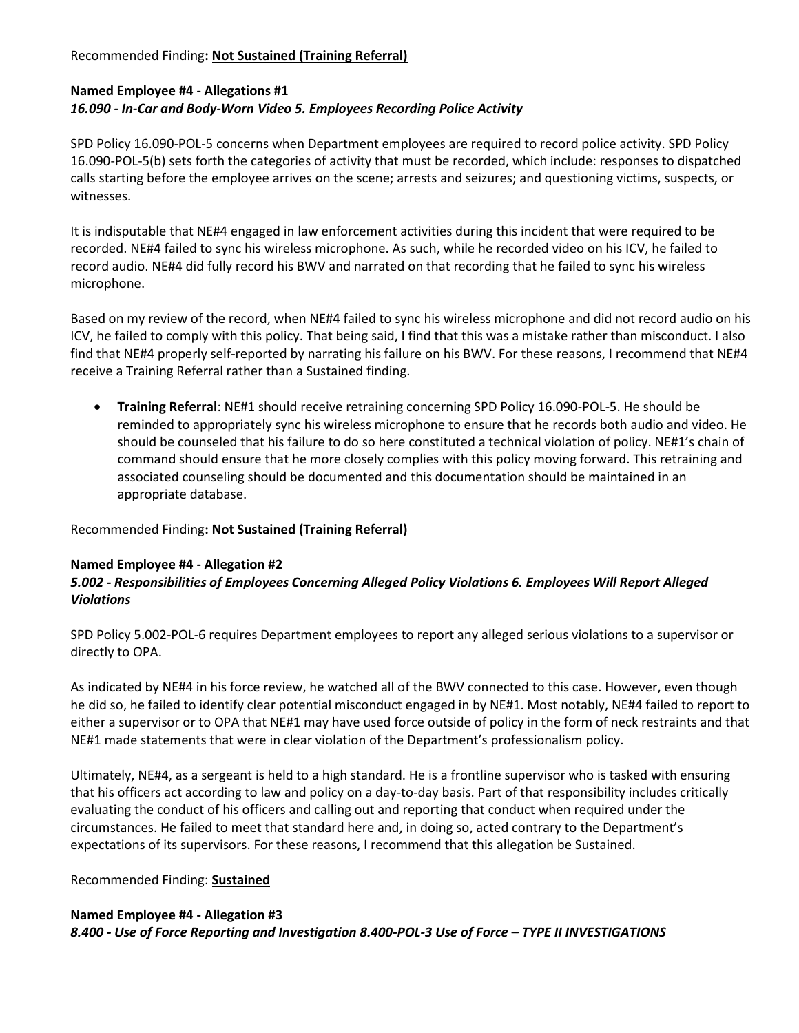# Recommended Finding**: Not Sustained (Training Referral)**

# **Named Employee #4 - Allegations #1** *16.090 - In-Car and Body-Worn Video 5. Employees Recording Police Activity*

SPD Policy 16.090-POL-5 concerns when Department employees are required to record police activity. SPD Policy 16.090-POL-5(b) sets forth the categories of activity that must be recorded, which include: responses to dispatched calls starting before the employee arrives on the scene; arrests and seizures; and questioning victims, suspects, or witnesses.

It is indisputable that NE#4 engaged in law enforcement activities during this incident that were required to be recorded. NE#4 failed to sync his wireless microphone. As such, while he recorded video on his ICV, he failed to record audio. NE#4 did fully record his BWV and narrated on that recording that he failed to sync his wireless microphone.

Based on my review of the record, when NE#4 failed to sync his wireless microphone and did not record audio on his ICV, he failed to comply with this policy. That being said, I find that this was a mistake rather than misconduct. I also find that NE#4 properly self-reported by narrating his failure on his BWV. For these reasons, I recommend that NE#4 receive a Training Referral rather than a Sustained finding.

• **Training Referral**: NE#1 should receive retraining concerning SPD Policy 16.090-POL-5. He should be reminded to appropriately sync his wireless microphone to ensure that he records both audio and video. He should be counseled that his failure to do so here constituted a technical violation of policy. NE#1's chain of command should ensure that he more closely complies with this policy moving forward. This retraining and associated counseling should be documented and this documentation should be maintained in an appropriate database.

#### Recommended Finding**: Not Sustained (Training Referral)**

#### **Named Employee #4 - Allegation #2**

# *5.002 - Responsibilities of Employees Concerning Alleged Policy Violations 6. Employees Will Report Alleged Violations*

SPD Policy 5.002-POL-6 requires Department employees to report any alleged serious violations to a supervisor or directly to OPA.

As indicated by NE#4 in his force review, he watched all of the BWV connected to this case. However, even though he did so, he failed to identify clear potential misconduct engaged in by NE#1. Most notably, NE#4 failed to report to either a supervisor or to OPA that NE#1 may have used force outside of policy in the form of neck restraints and that NE#1 made statements that were in clear violation of the Department's professionalism policy.

Ultimately, NE#4, as a sergeant is held to a high standard. He is a frontline supervisor who is tasked with ensuring that his officers act according to law and policy on a day-to-day basis. Part of that responsibility includes critically evaluating the conduct of his officers and calling out and reporting that conduct when required under the circumstances. He failed to meet that standard here and, in doing so, acted contrary to the Department's expectations of its supervisors. For these reasons, I recommend that this allegation be Sustained.

#### Recommended Finding: **Sustained**

#### **Named Employee #4 - Allegation #3**

*8.400 - Use of Force Reporting and Investigation 8.400-POL-3 Use of Force – TYPE II INVESTIGATIONS*